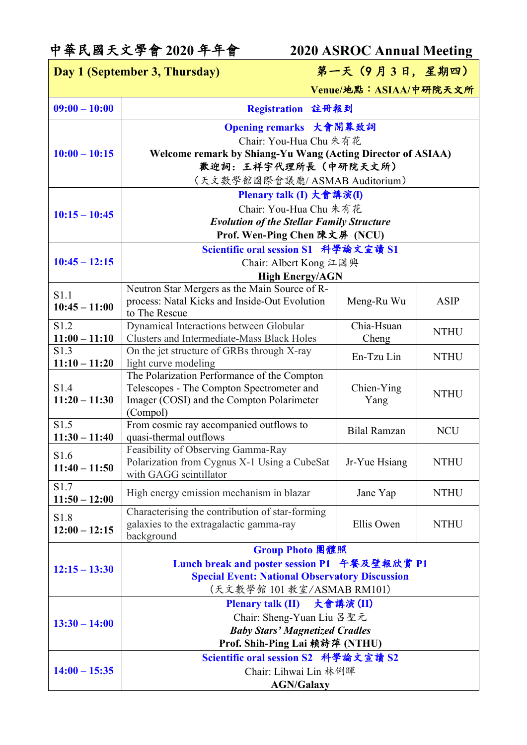## 中華民國天文學會 **2020** 年年會 **2020 ASROC Annual Meeting**

| Day 1 (September 3, Thursday) |                                                                                              | 第一天(9月3日,星期四)          |             |
|-------------------------------|----------------------------------------------------------------------------------------------|------------------------|-------------|
|                               |                                                                                              | Venue/地點: ASIAA/中研院天文所 |             |
| $09:00 - 10:00$               | Registration 註冊報到                                                                            |                        |             |
|                               | Opening remarks 大會開幕致詞                                                                       |                        |             |
|                               | Chair: You-Hua Chu 朱有花                                                                       |                        |             |
| $10:00 - 10:15$               | Welcome remark by Shiang-Yu Wang (Acting Director of ASIAA)                                  |                        |             |
|                               | 歡迎詞:王祥宇代理所長(中研院天文所)                                                                          |                        |             |
|                               | (天文數學館國際會議廳/ASMAB Auditorium)                                                                |                        |             |
|                               | Plenary talk (I) 大會講演(I)                                                                     |                        |             |
| $10:15 - 10:45$               | Chair: You-Hua Chu 朱有花                                                                       |                        |             |
|                               | <b>Evolution of the Stellar Family Structure</b>                                             |                        |             |
|                               | Prof. Wen-Ping Chen 陳文屏 (NCU)<br>Scientific oral session S1 科學論文宣讀 S1                        |                        |             |
| $10:45 - 12:15$               | Chair: Albert Kong 江國興                                                                       |                        |             |
|                               | <b>High Energy/AGN</b>                                                                       |                        |             |
|                               | Neutron Star Mergers as the Main Source of R-                                                |                        |             |
| S1.1<br>$10:45 - 11:00$       | process: Natal Kicks and Inside-Out Evolution                                                | Meng-Ru Wu             | <b>ASIP</b> |
|                               | to The Rescue                                                                                |                        |             |
| S1.2<br>$11:00 - 11:10$       | Dynamical Interactions between Globular<br><b>Clusters and Intermediate-Mass Black Holes</b> | Chia-Hsuan             | <b>NTHU</b> |
| S1.3                          | On the jet structure of GRBs through X-ray                                                   | Cheng                  |             |
| $11:10 - 11:20$               | light curve modeling                                                                         | En-Tzu Lin             | <b>NTHU</b> |
|                               | The Polarization Performance of the Compton                                                  |                        |             |
| S1.4                          | Telescopes - The Compton Spectrometer and                                                    | Chien-Ying             | <b>NTHU</b> |
| $11:20 - 11:30$               | Imager (COSI) and the Compton Polarimeter                                                    | Yang                   |             |
| S1.5                          | (Compol)<br>From cosmic ray accompanied outflows to                                          |                        |             |
| $11:30 - 11:40$               | quasi-thermal outflows                                                                       | <b>Bilal Ramzan</b>    | <b>NCU</b>  |
|                               | Feasibility of Observing Gamma-Ray                                                           |                        |             |
| S1.6<br>$11:40 - 11:50$       | Polarization from Cygnus X-1 Using a CubeSat                                                 | Jr-Yue Hsiang          | <b>NTHU</b> |
|                               | with GAGG scintillator                                                                       |                        |             |
| S1.7<br>$11:50 - 12:00$       | High energy emission mechanism in blazar                                                     | Jane Yap               | <b>NTHU</b> |
|                               | Characterising the contribution of star-forming                                              |                        |             |
| S1.8<br>$12:00 - 12:15$       | galaxies to the extragalactic gamma-ray                                                      | Ellis Owen             | <b>NTHU</b> |
|                               | background                                                                                   |                        |             |
|                               | Group Photo 團體照                                                                              |                        |             |
| $12:15 - 13:30$               | Lunch break and poster session P1 午餐及壁報欣賞 P1                                                 |                        |             |
|                               | <b>Special Event: National Observatory Discussion</b>                                        |                        |             |
|                               | (天文數學館 101 教室/ASMAB RM101)                                                                   |                        |             |
| $13:30 - 14:00$               | 大會講演(II)<br><b>Plenary talk (II)</b><br>Chair: Sheng-Yuan Liu 呂聖元                            |                        |             |
|                               | <b>Baby Stars' Magnetized Cradles</b>                                                        |                        |             |
|                               | Prof. Shih-Ping Lai 賴詩萍 (NTHU)                                                               |                        |             |
|                               | Scientific oral session S2 科學論文宣讀 S2                                                         |                        |             |
| $14:00 - 15:35$               | Chair: Lihwai Lin 林俐暉                                                                        |                        |             |
|                               | <b>AGN/Galaxy</b>                                                                            |                        |             |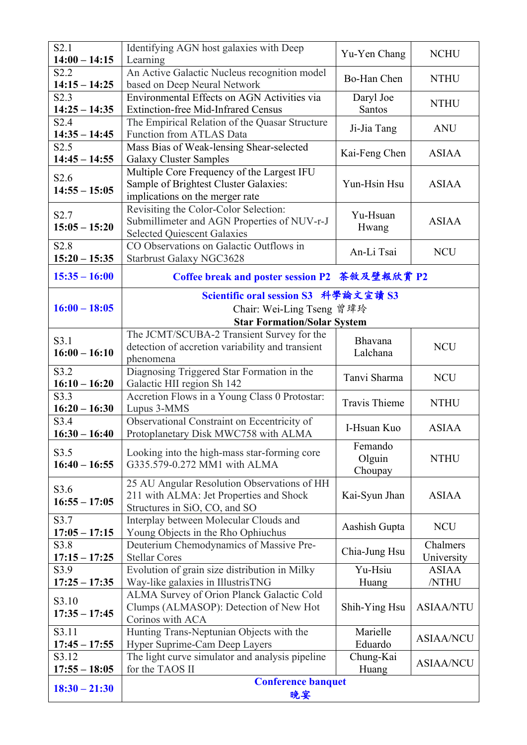| S2.1<br>$14:00 - 14:15$             | Identifying AGN host galaxies with Deep<br>Learning                                                                        | Yu-Yen Chang                 | <b>NCHU</b>            |
|-------------------------------------|----------------------------------------------------------------------------------------------------------------------------|------------------------------|------------------------|
| S2.2<br>$14:15 - 14:25$             | An Active Galactic Nucleus recognition model<br>based on Deep Neural Network                                               | Bo-Han Chen                  | <b>NTHU</b>            |
| S2.3<br>$14:25 - 14:35$             | Environmental Effects on AGN Activities via<br><b>Extinction-free Mid-Infrared Census</b>                                  | Daryl Joe<br>Santos          | <b>NTHU</b>            |
| S2.4<br>$14:35 - 14:45$             | The Empirical Relation of the Quasar Structure<br>Function from ATLAS Data                                                 | Ji-Jia Tang                  | <b>ANU</b>             |
| S2.5<br>$14:45 - 14:55$             | Mass Bias of Weak-lensing Shear-selected<br><b>Galaxy Cluster Samples</b>                                                  | Kai-Feng Chen                | <b>ASIAA</b>           |
| S <sub>2.6</sub><br>$14:55 - 15:05$ | Multiple Core Frequency of the Largest IFU<br>Sample of Brightest Cluster Galaxies:<br>implications on the merger rate     | Yun-Hsin Hsu                 | <b>ASIAA</b>           |
| S <sub>2.7</sub><br>$15:05 - 15:20$ | Revisiting the Color-Color Selection:<br>Submillimeter and AGN Properties of NUV-r-J<br><b>Selected Quiescent Galaxies</b> | Yu-Hsuan<br>Hwang            | <b>ASIAA</b>           |
| S <sub>2.8</sub><br>$15:20 - 15:35$ | CO Observations on Galactic Outflows in<br><b>Starbrust Galaxy NGC3628</b>                                                 | An-Li Tsai                   | <b>NCU</b>             |
| $15:35 - 16:00$                     | Coffee break and poster session P2 茶敘及壁報欣賞 P2                                                                              |                              |                        |
| $16:00 - 18:05$                     | Scientific oral session S3 科學論文宣讀 S3<br>Chair: Wei-Ling Tseng 曾瑋玲<br><b>Star Formation/Solar System</b>                    |                              |                        |
| S3.1<br>$16:00 - 16:10$             | The JCMT/SCUBA-2 Transient Survey for the<br>detection of accretion variability and transient<br>phenomena                 | Bhavana<br>Lalchana          | <b>NCU</b>             |
| S3.2<br>$16:10 - 16:20$             | Diagnosing Triggered Star Formation in the<br>Galactic HII region Sh 142                                                   | Tanvi Sharma                 | <b>NCU</b>             |
| S3.3<br>$16:20 - 16:30$             | Accretion Flows in a Young Class 0 Protostar:<br>Lupus 3-MMS                                                               | <b>Travis Thieme</b>         | <b>NTHU</b>            |
| S3.4<br>$16:30 - 16:40$             | Observational Constraint on Eccentricity of<br>Protoplanetary Disk MWC758 with ALMA                                        | I-Hsuan Kuo                  | <b>ASIAA</b>           |
| S3.5<br>$16:40 - 16:55$             | Looking into the high-mass star-forming core<br>G335.579-0.272 MM1 with ALMA                                               | Femando<br>Olguin<br>Choupay | <b>NTHU</b>            |
| S3.6<br>$16:55 - 17:05$             | 25 AU Angular Resolution Observations of HH<br>211 with ALMA: Jet Properties and Shock<br>Structures in SiO, CO, and SO    | Kai-Syun Jhan                | <b>ASIAA</b>           |
| S3.7<br>$17:05 - 17:15$             | Interplay between Molecular Clouds and<br>Young Objects in the Rho Ophiuchus                                               | Aashish Gupta                | <b>NCU</b>             |
| S3.8<br>$17:15 - 17:25$             | Deuterium Chemodynamics of Massive Pre-<br><b>Stellar Cores</b>                                                            | Chia-Jung Hsu                | Chalmers<br>University |
| S3.9<br>$17:25 - 17:35$             | Evolution of grain size distribution in Milky<br>Way-like galaxies in IllustrisTNG                                         | Yu-Hsiu<br>Huang             | <b>ASIAA</b><br>/NTHU  |
| S3.10<br>$17:35 - 17:45$            | ALMA Survey of Orion Planck Galactic Cold<br>Clumps (ALMASOP): Detection of New Hot<br>Corinos with ACA                    | Shih-Ying Hsu                | <b>ASIAA/NTU</b>       |
| S3.11<br>$17:45 - 17:55$            | Hunting Trans-Neptunian Objects with the<br>Hyper Suprime-Cam Deep Layers                                                  | Marielle<br>Eduardo          | <b>ASIAA/NCU</b>       |
| S3.12<br>$17:55 - 18:05$            | The light curve simulator and analysis pipeline<br>for the TAOS II                                                         | Chung-Kai<br>Huang           | <b>ASIAA/NCU</b>       |
| $18:30 - 21:30$                     | <b>Conference banquet</b><br>晚宴                                                                                            |                              |                        |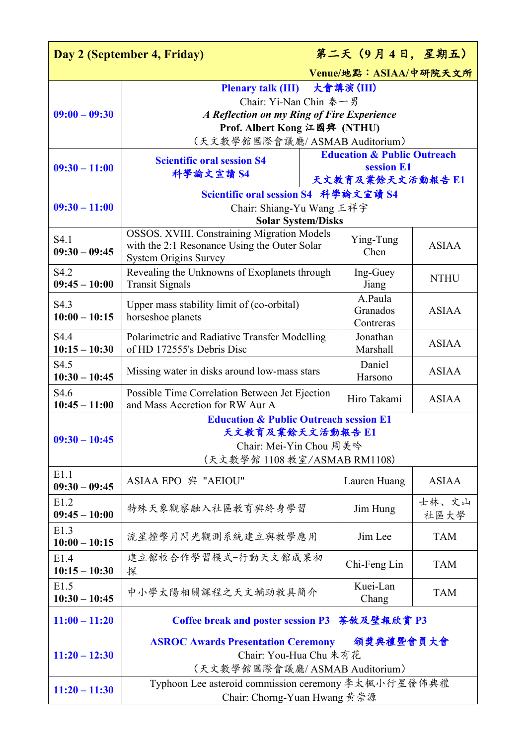| 第二天 (9月4日,星期五)<br>Day 2 (September 4, Friday)     |                                                                                   |           |                                        |              |  |
|---------------------------------------------------|-----------------------------------------------------------------------------------|-----------|----------------------------------------|--------------|--|
|                                                   |                                                                                   |           | Venue/地點: ASIAA/中研院天文所                 |              |  |
|                                                   | <b>Plenary talk (III)</b>                                                         | 大會講演(III) |                                        |              |  |
|                                                   | Chair: Yi-Nan Chin 秦一男                                                            |           |                                        |              |  |
| $09:00 - 09:30$                                   | A Reflection on my Ring of Fire Experience                                        |           |                                        |              |  |
|                                                   | Prof. Albert Kong 江國興 (NTHU)                                                      |           |                                        |              |  |
|                                                   | (天文數學館國際會議廳/ASMAB Auditorium)                                                     |           |                                        |              |  |
|                                                   | <b>Scientific oral session S4</b>                                                 |           | <b>Education &amp; Public Outreach</b> |              |  |
| $09:30 - 11:00$                                   | 科學論文宣讀 S4                                                                         |           | session E1<br>天文教育及業餘天文活動報告 E1         |              |  |
|                                                   |                                                                                   |           |                                        |              |  |
| $09:30 - 11:00$                                   | Scientific oral session S4 科學論文宣讀 S4                                              |           |                                        |              |  |
|                                                   | Chair: Shiang-Yu Wang 王祥宇                                                         |           |                                        |              |  |
|                                                   | <b>Solar System/Disks</b><br>OSSOS. XVIII. Constraining Migration Models          |           |                                        |              |  |
| S4.1                                              | with the 2:1 Resonance Using the Outer Solar                                      |           | Ying-Tung                              | <b>ASIAA</b> |  |
| $09:30 - 09:45$                                   | <b>System Origins Survey</b>                                                      |           | Chen                                   |              |  |
| S4.2                                              | Revealing the Unknowns of Exoplanets through                                      |           | Ing-Guey                               |              |  |
| $09:45 - 10:00$                                   | <b>Transit Signals</b>                                                            |           | Jiang                                  | <b>NTHU</b>  |  |
| S4.3                                              | Upper mass stability limit of (co-orbital)                                        |           | A.Paula                                |              |  |
| $10:00 - 10:15$                                   | horseshoe planets                                                                 |           | Granados                               | <b>ASIAA</b> |  |
|                                                   |                                                                                   |           | Contreras                              |              |  |
| S4.4                                              | Polarimetric and Radiative Transfer Modelling                                     |           | Jonathan                               | <b>ASIAA</b> |  |
| $10:15 - 10:30$                                   | of HD 172555's Debris Disc                                                        |           | Marshall                               |              |  |
| S4.5                                              | Missing water in disks around low-mass stars                                      |           | Daniel                                 | <b>ASIAA</b> |  |
| $10:30 - 10:45$                                   |                                                                                   |           | Harsono                                |              |  |
| S4.6<br>$10:45 - 11:00$                           | Possible Time Correlation Between Jet Ejection<br>and Mass Accretion for RW Aur A |           | Hiro Takami                            | <b>ASIAA</b> |  |
| <b>Education &amp; Public Outreach session E1</b> |                                                                                   |           |                                        |              |  |
|                                                   | 天文教育及業餘天文活動報告 E1                                                                  |           |                                        |              |  |
| $09:30 - 10:45$                                   | Chair: Mei-Yin Chou 周美吟                                                           |           |                                        |              |  |
|                                                   | (天文數學館 1108 教室/ASMAB RM1108)                                                      |           |                                        |              |  |
| E1.1                                              | ASIAA EPO 與 "AEIOU"                                                               |           | Lauren Huang                           | <b>ASIAA</b> |  |
| $09:30 - 09:45$                                   |                                                                                   |           |                                        |              |  |
| E1.2<br>$09:45 - 10:00$                           | 特殊天象觀察融入社區教育與終身學習                                                                 |           | Jim Hung                               | 士林、文山        |  |
| E1.3                                              |                                                                                   |           |                                        | 社區大學         |  |
| $10:00 - 10:15$                                   | 流星撞擊月閃光觀測系統建立與教學應用                                                                |           | Jim Lee                                | <b>TAM</b>   |  |
| E1.4                                              | 建立館校合作學習模式-行動天文館成果初                                                               |           |                                        |              |  |
| $10:15 - 10:30$                                   | 探                                                                                 |           | Chi-Feng Lin                           | <b>TAM</b>   |  |
| E1.5                                              |                                                                                   |           | Kuei-Lan                               |              |  |
| $10:30 - 10:45$                                   | 中小學太陽相關課程之天文輔助教具簡介                                                                |           | Chang                                  | <b>TAM</b>   |  |
| $11:00 - 11:20$                                   | Coffee break and poster session P3 茶敘及壁報欣賞 P3                                     |           |                                        |              |  |
| <b>ASROC Awards Presentation Ceremony</b>         |                                                                                   |           | 頒獎典禮暨會員大會                              |              |  |
| $11:20 - 12:30$                                   | Chair: You-Hua Chu 朱有花                                                            |           |                                        |              |  |
|                                                   | (天文數學館國際會議廳/ASMAB Auditorium)                                                     |           |                                        |              |  |
|                                                   | Typhoon Lee asteroid commission ceremony 李太楓小行星發佈典禮                               |           |                                        |              |  |
| $11:20 - 11:30$                                   | Chair: Chorng-Yuan Hwang 黃崇源                                                      |           |                                        |              |  |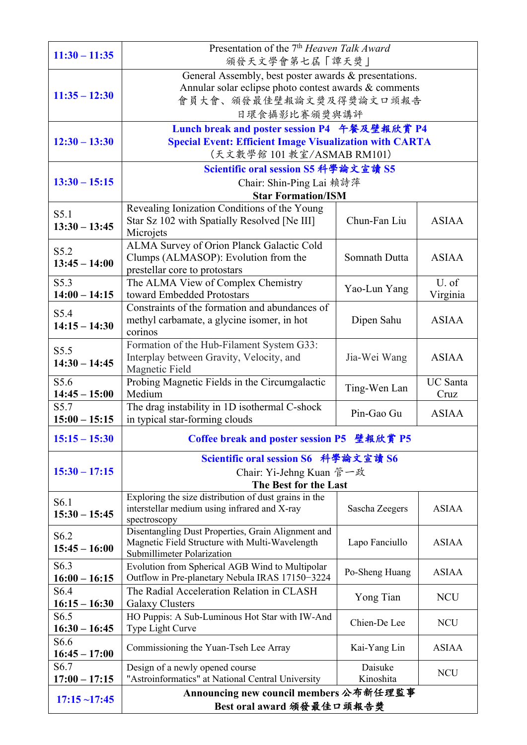| $11:30 - 11:35$                     | Presentation of the 7 <sup>th</sup> Heaven Talk Award<br>頒發天文學會第七屆「譚天獎」                                                                                   |                      |                         |
|-------------------------------------|-----------------------------------------------------------------------------------------------------------------------------------------------------------|----------------------|-------------------------|
| $11:35 - 12:30$                     | General Assembly, best poster awards & presentations.<br>Annular solar eclipse photo contest awards & comments<br>會員大會、頒發最佳壁報論文獎及得獎論文口頭報告<br>日環食攝影比賽頒獎與講評 |                      |                         |
| $12:30 - 13:30$                     | Lunch break and poster session P4 午餐及壁報欣賞 P4<br><b>Special Event: Efficient Image Visualization with CARTA</b><br>(天文數學館 101 教室/ASMAB RM101)              |                      |                         |
| $13:30 - 15:15$                     | Scientific oral session S5 科學論文宣讀 S5<br>Chair: Shin-Ping Lai 賴詩萍<br><b>Star Formation/ISM</b>                                                             |                      |                         |
| S5.1<br>$13:30 - 13:45$             | Revealing Ionization Conditions of the Young<br>Star Sz 102 with Spatially Resolved [Ne III]<br>Microjets                                                 | Chun-Fan Liu         | <b>ASIAA</b>            |
| S5.2<br>$13:45 - 14:00$             | ALMA Survey of Orion Planck Galactic Cold<br>Clumps (ALMASOP): Evolution from the<br>prestellar core to protostars                                        | Somnath Dutta        | <b>ASIAA</b>            |
| S5.3<br>$14:00 - 14:15$             | The ALMA View of Complex Chemistry<br>toward Embedded Protostars                                                                                          | Yao-Lun Yang         | U. of<br>Virginia       |
| S5.4<br>$14:15 - 14:30$             | Constraints of the formation and abundances of<br>methyl carbamate, a glycine isomer, in hot<br>corinos                                                   | Dipen Sahu           | <b>ASIAA</b>            |
| S5.5<br>$14:30 - 14:45$             | Formation of the Hub-Filament System G33:<br>Interplay between Gravity, Velocity, and<br>Magnetic Field                                                   | Jia-Wei Wang         | <b>ASIAA</b>            |
| S5.6<br>$14:45 - 15:00$             | Probing Magnetic Fields in the Circumgalactic<br>Medium                                                                                                   | Ting-Wen Lan         | <b>UC</b> Santa<br>Cruz |
| S5.7<br>$15:00 - 15:15$             | The drag instability in 1D isothermal C-shock<br>in typical star-forming clouds                                                                           | Pin-Gao Gu           | <b>ASIAA</b>            |
| $15:15 - 15:30$                     | Coffee break and poster session P5 壁報欣賞 P5                                                                                                                |                      |                         |
| $15:30 - 17:15$                     | Scientific oral session S6 科學論文宣讀 S6<br>Chair: Yi-Jehng Kuan 管一政<br>The Best for the Last                                                                 |                      |                         |
| S <sub>6.1</sub><br>$15:30 - 15:45$ | Exploring the size distribution of dust grains in the<br>interstellar medium using infrared and X-ray<br>spectroscopy                                     | Sascha Zeegers       | <b>ASIAA</b>            |
| S <sub>6.2</sub><br>$15:45 - 16:00$ | Disentangling Dust Properties, Grain Alignment and<br>Magnetic Field Structure with Multi-Wavelength<br>Submillimeter Polarization                        | Lapo Fanciullo       | <b>ASIAA</b>            |
| S6.3<br>$16:00 - 16:15$             | Evolution from Spherical AGB Wind to Multipolar<br>Outflow in Pre-planetary Nebula IRAS 17150-3224                                                        | Po-Sheng Huang       | <b>ASIAA</b>            |
| S <sub>6.4</sub><br>$16:15 - 16:30$ | The Radial Acceleration Relation in CLASH<br><b>Galaxy Clusters</b>                                                                                       | Yong Tian            | <b>NCU</b>              |
| S6.5<br>$16:30 - 16:45$             | HO Puppis: A Sub-Luminous Hot Star with IW-And<br>Type Light Curve                                                                                        | Chien-De Lee         | <b>NCU</b>              |
| S <sub>6.6</sub><br>$16:45 - 17:00$ | Commissioning the Yuan-Tseh Lee Array                                                                                                                     | Kai-Yang Lin         | <b>ASIAA</b>            |
| S <sub>6.7</sub><br>$17:00 - 17:15$ | Design of a newly opened course<br>"Astroinformatics" at National Central University                                                                      | Daisuke<br>Kinoshita | <b>NCU</b>              |
| $17:15$ ~17:45                      | Announcing new council members 公布新任理監事                                                                                                                    |                      |                         |
|                                     | Best oral award 頒發最佳口頭報告獎                                                                                                                                 |                      |                         |